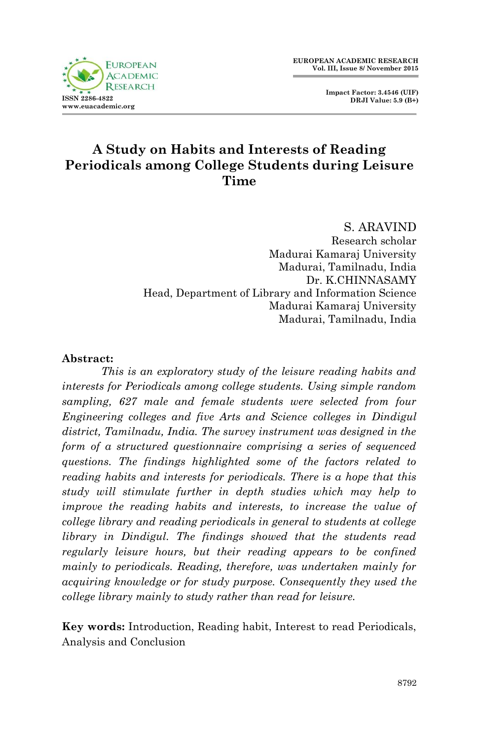**Impact Factor: 3.4546 (UIF) DRJI Value: 5.9 (B+)**



# **A Study on Habits and Interests of Reading Periodicals among College Students during Leisure Time**

S. ARAVIND Research scholar Madurai Kamaraj University Madurai, Tamilnadu, India Dr. K.CHINNASAMY Head, Department of Library and Information Science Madurai Kamaraj University Madurai, Tamilnadu, India

### **Abstract:**

*This is an exploratory study of the leisure reading habits and interests for Periodicals among college students. Using simple random sampling, 627 male and female students were selected from four Engineering colleges and five Arts and Science colleges in Dindigul district, Tamilnadu, India. The survey instrument was designed in the form of a structured questionnaire comprising a series of sequenced questions. The findings highlighted some of the factors related to reading habits and interests for periodicals. There is a hope that this study will stimulate further in depth studies which may help to improve the reading habits and interests, to increase the value of college library and reading periodicals in general to students at college library in Dindigul. The findings showed that the students read regularly leisure hours, but their reading appears to be confined mainly to periodicals. Reading, therefore, was undertaken mainly for acquiring knowledge or for study purpose. Consequently they used the college library mainly to study rather than read for leisure.*

**Key words:** Introduction, Reading habit, Interest to read Periodicals, Analysis and Conclusion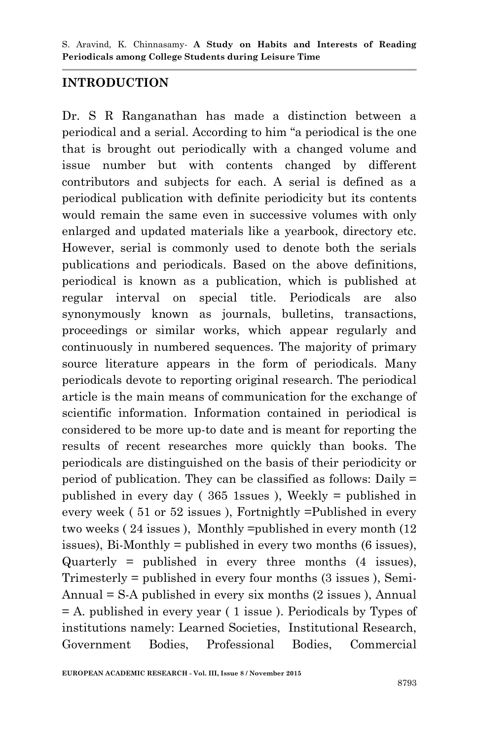## **INTRODUCTION**

Dr. S R Ranganathan has made a distinction between a periodical and a serial. According to him "a periodical is the one that is brought out periodically with a changed volume and issue number but with contents changed by different contributors and subjects for each. A serial is defined as a periodical publication with definite periodicity but its contents would remain the same even in successive volumes with only enlarged and updated materials like a yearbook, directory etc. However, serial is commonly used to denote both the serials publications and periodicals. Based on the above definitions, periodical is known as a publication, which is published at regular interval on special title. Periodicals are also synonymously known as journals, bulletins, transactions, proceedings or similar works, which appear regularly and continuously in numbered sequences. The majority of primary source literature appears in the form of periodicals. Many periodicals devote to reporting original research. The periodical article is the main means of communication for the exchange of scientific information. Information contained in periodical is considered to be more up-to date and is meant for reporting the results of recent researches more quickly than books. The periodicals are distinguished on the basis of their periodicity or period of publication. They can be classified as follows: Daily = published in every day ( 365 1ssues ), Weekly = published in every week ( 51 or 52 issues ), Fortnightly =Published in every two weeks ( 24 issues ), Monthly =published in every month (12 issues), Bi-Monthly = published in every two months (6 issues), Quarterly = published in every three months (4 issues), Trimesterly = published in every four months (3 issues ), Semi-Annual  $= S-A$  published in every six months  $(2 \text{ issues})$ , Annual = A. published in every year ( 1 issue ). Periodicals by Types of institutions namely: Learned Societies, Institutional Research, Government Bodies, Professional Bodies, Commercial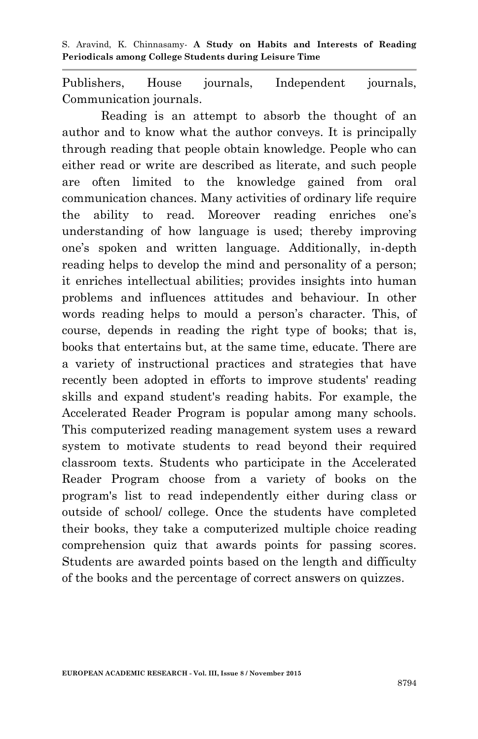Publishers, House journals, Independent journals, Communication journals.

Reading is an attempt to absorb the thought of an author and to know what the author conveys. It is principally through reading that people obtain knowledge. People who can either read or write are described as literate, and such people are often limited to the knowledge gained from oral communication chances. Many activities of ordinary life require the ability to read. Moreover reading enriches one"s understanding of how language is used; thereby improving one"s spoken and written language. Additionally, in-depth reading helps to develop the mind and personality of a person; it enriches intellectual abilities; provides insights into human problems and influences attitudes and behaviour. In other words reading helps to mould a person's character. This, of course, depends in reading the right type of books; that is, books that entertains but, at the same time, educate. There are a variety of instructional practices and strategies that have recently been adopted in efforts to improve students' reading skills and expand student's reading habits. For example, the Accelerated Reader Program is popular among many schools. This computerized reading management system uses a reward system to motivate students to read beyond their required classroom texts. Students who participate in the Accelerated Reader Program choose from a variety of books on the program's list to read independently either during class or outside of school/ college. Once the students have completed their books, they take a computerized multiple choice reading comprehension quiz that awards points for passing scores. Students are awarded points based on the length and difficulty of the books and the percentage of correct answers on quizzes.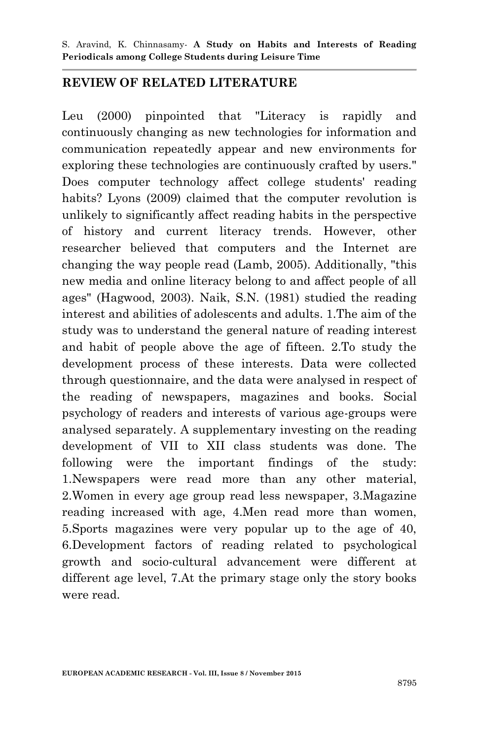### **REVIEW OF RELATED LITERATURE**

Leu (2000) pinpointed that "Literacy is rapidly and continuously changing as new technologies for information and communication repeatedly appear and new environments for exploring these technologies are continuously crafted by users." Does computer technology affect college students' reading habits? Lyons (2009) claimed that the computer revolution is unlikely to significantly affect reading habits in the perspective of history and current literacy trends. However, other researcher believed that computers and the Internet are changing the way people read (Lamb, 2005). Additionally, "this new media and online literacy belong to and affect people of all ages" (Hagwood, 2003). Naik, S.N. (1981) studied the reading interest and abilities of adolescents and adults. 1.The aim of the study was to understand the general nature of reading interest and habit of people above the age of fifteen. 2.To study the development process of these interests. Data were collected through questionnaire, and the data were analysed in respect of the reading of newspapers, magazines and books. Social psychology of readers and interests of various age-groups were analysed separately. A supplementary investing on the reading development of VII to XII class students was done. The following were the important findings of the study: 1.Newspapers were read more than any other material, 2.Women in every age group read less newspaper, 3.Magazine reading increased with age, 4.Men read more than women, 5.Sports magazines were very popular up to the age of 40, 6.Development factors of reading related to psychological growth and socio-cultural advancement were different at different age level, 7.At the primary stage only the story books were read.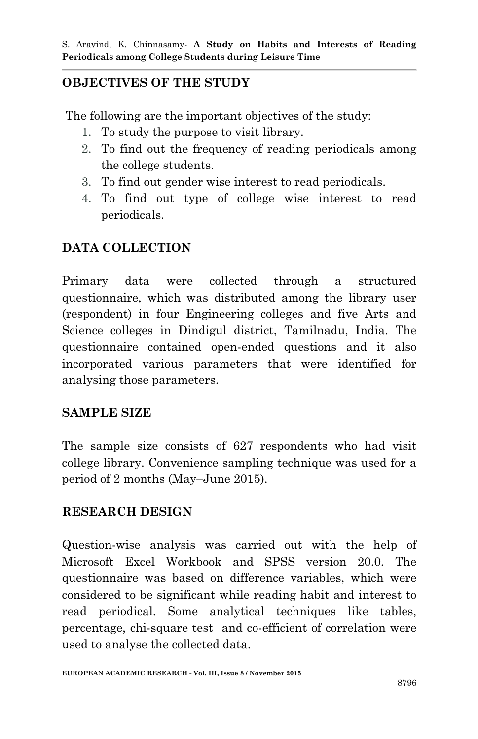## **OBJECTIVES OF THE STUDY**

The following are the important objectives of the study:

- 1. To study the purpose to visit library.
- 2. To find out the frequency of reading periodicals among the college students.
- 3. To find out gender wise interest to read periodicals.
- 4. To find out type of college wise interest to read periodicals.

## **DATA COLLECTION**

Primary data were collected through a structured questionnaire, which was distributed among the library user (respondent) in four Engineering colleges and five Arts and Science colleges in Dindigul district, Tamilnadu, India. The questionnaire contained open-ended questions and it also incorporated various parameters that were identified for analysing those parameters.

## **SAMPLE SIZE**

The sample size consists of 627 respondents who had visit college library. Convenience sampling technique was used for a period of 2 months (May–June 2015).

## **RESEARCH DESIGN**

Question-wise analysis was carried out with the help of Microsoft Excel Workbook and SPSS version 20.0. The questionnaire was based on difference variables, which were considered to be significant while reading habit and interest to read periodical. Some analytical techniques like tables, percentage, chi-square test and co-efficient of correlation were used to analyse the collected data.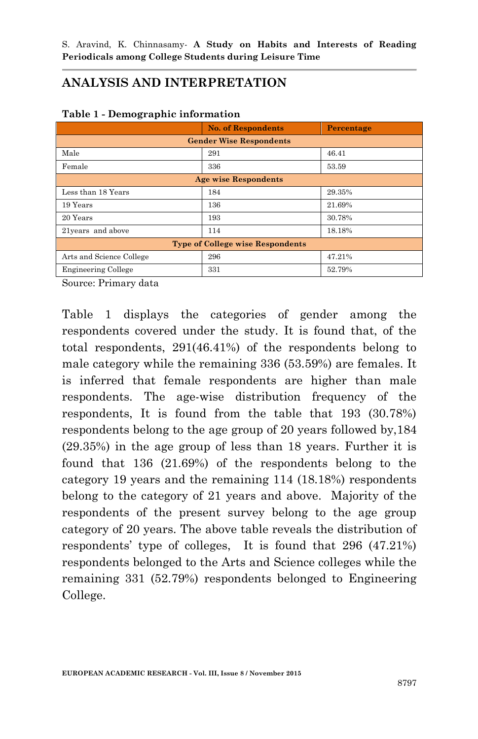## **ANALYSIS AND INTERPRETATION**

| - - ---- <b>-</b> ----                  |                             |            |  |  |  |  |  |  |
|-----------------------------------------|-----------------------------|------------|--|--|--|--|--|--|
|                                         | <b>No. of Respondents</b>   | Percentage |  |  |  |  |  |  |
| <b>Gender Wise Respondents</b>          |                             |            |  |  |  |  |  |  |
| Male                                    | 291                         | 46.41      |  |  |  |  |  |  |
| Female                                  | 336                         | 53.59      |  |  |  |  |  |  |
|                                         | <b>Age wise Respondents</b> |            |  |  |  |  |  |  |
| Less than 18 Years                      | 184                         | 29.35%     |  |  |  |  |  |  |
| 19 Years                                | 136                         | 21.69%     |  |  |  |  |  |  |
| 20 Years                                | 193                         | 30.78%     |  |  |  |  |  |  |
| 21years and above                       | 114                         | 18.18%     |  |  |  |  |  |  |
| <b>Type of College wise Respondents</b> |                             |            |  |  |  |  |  |  |
| Arts and Science College                | 296                         | 47.21%     |  |  |  |  |  |  |
| <b>Engineering College</b>              | 331                         | 52.79%     |  |  |  |  |  |  |

### **Table 1 - Demographic information**

Source: Primary data

Table 1 displays the categories of gender among the respondents covered under the study. It is found that, of the total respondents, 291(46.41%) of the respondents belong to male category while the remaining 336 (53.59%) are females. It is inferred that female respondents are higher than male respondents. The age-wise distribution frequency of the respondents, It is found from the table that 193 (30.78%) respondents belong to the age group of 20 years followed by,184 (29.35%) in the age group of less than 18 years. Further it is found that 136 (21.69%) of the respondents belong to the category 19 years and the remaining 114 (18.18%) respondents belong to the category of 21 years and above. Majority of the respondents of the present survey belong to the age group category of 20 years. The above table reveals the distribution of respondents" type of colleges, It is found that 296 (47.21%) respondents belonged to the Arts and Science colleges while the remaining 331 (52.79%) respondents belonged to Engineering College.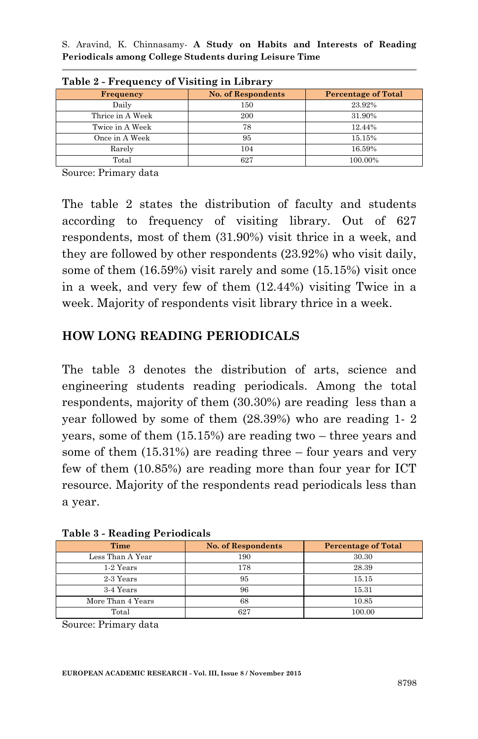| $\frac{1}{2}$    |                           |                            |  |  |  |  |  |  |  |
|------------------|---------------------------|----------------------------|--|--|--|--|--|--|--|
| <b>Frequency</b> | <b>No. of Respondents</b> | <b>Percentage of Total</b> |  |  |  |  |  |  |  |
| Daily            | 150                       | 23.92%                     |  |  |  |  |  |  |  |
| Thrice in A Week | 200                       | 31.90%                     |  |  |  |  |  |  |  |
| Twice in A Week  | 78                        | 12.44%                     |  |  |  |  |  |  |  |
| Once in A Week   | 95                        | 15.15%                     |  |  |  |  |  |  |  |
| Rarely           | 104                       | 16.59%                     |  |  |  |  |  |  |  |
| Total            | 627                       | 100.00%                    |  |  |  |  |  |  |  |

**Table 2 - Frequency of Visiting in Library**

Source: Primary data

The table 2 states the distribution of faculty and students according to frequency of visiting library. Out of 627 respondents, most of them (31.90%) visit thrice in a week, and they are followed by other respondents (23.92%) who visit daily, some of them (16.59%) visit rarely and some (15.15%) visit once in a week, and very few of them (12.44%) visiting Twice in a week. Majority of respondents visit library thrice in a week.

## **HOW LONG READING PERIODICALS**

The table 3 denotes the distribution of arts, science and engineering students reading periodicals. Among the total respondents, majority of them (30.30%) are reading less than a year followed by some of them (28.39%) who are reading 1- 2 years, some of them (15.15%) are reading two – three years and some of them (15.31%) are reading three – four years and very few of them (10.85%) are reading more than four year for ICT resource. Majority of the respondents read periodicals less than a year.

| $10000$ <i>weaking</i> $101000$ |                           |                            |
|---------------------------------|---------------------------|----------------------------|
| Time                            | <b>No. of Respondents</b> | <b>Percentage of Total</b> |
| Less Than A Year                | 190                       | 30.30                      |
| 1-2 Years                       | 178                       | 28.39                      |
| 2-3 Years                       | 95                        | 15.15                      |
| 3-4 Years                       | 96                        | 15.31                      |
| More Than 4 Years               | 68                        | 10.85                      |
| Total                           | 627                       | 100.00                     |

**Table 3 - Reading Periodicals**

Source: Primary data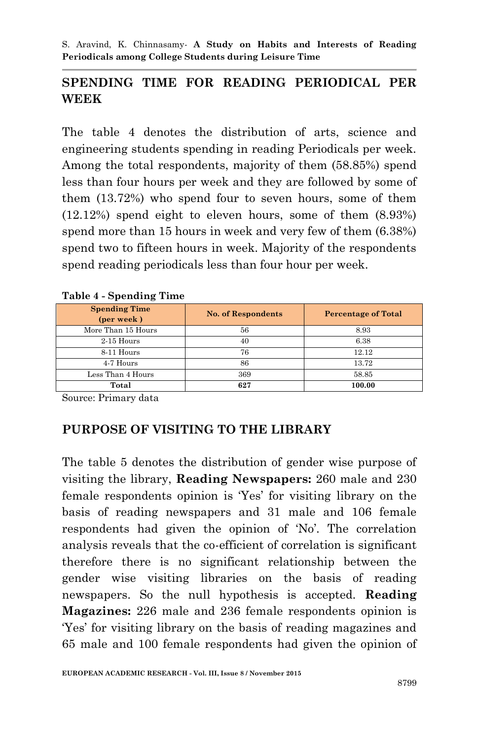## **SPENDING TIME FOR READING PERIODICAL PER WEEK**

The table 4 denotes the distribution of arts, science and engineering students spending in reading Periodicals per week. Among the total respondents, majority of them (58.85%) spend less than four hours per week and they are followed by some of them (13.72%) who spend four to seven hours, some of them (12.12%) spend eight to eleven hours, some of them (8.93%) spend more than 15 hours in week and very few of them (6.38%) spend two to fifteen hours in week. Majority of the respondents spend reading periodicals less than four hour per week.

| <b>Spending Time</b><br>(per week) | <b>No. of Respondents</b> | <b>Percentage of Total</b> |
|------------------------------------|---------------------------|----------------------------|
| More Than 15 Hours                 | 56                        | 8.93                       |
| $2-15$ Hours                       | 40                        | 6.38                       |
| 8-11 Hours                         | 76                        | 12.12                      |
| 4-7 Hours                          | 86                        | 13.72                      |
| Less Than 4 Hours                  | 369                       | 58.85                      |
| Total                              | 627                       | 100.00                     |

**Table 4 - Spending Time**

Source: Primary data

## **PURPOSE OF VISITING TO THE LIBRARY**

The table 5 denotes the distribution of gender wise purpose of visiting the library, **Reading Newspapers:** 260 male and 230 female respondents opinion is "Yes" for visiting library on the basis of reading newspapers and 31 male and 106 female respondents had given the opinion of "No". The correlation analysis reveals that the co-efficient of correlation is significant therefore there is no significant relationship between the gender wise visiting libraries on the basis of reading newspapers. So the null hypothesis is accepted. **Reading Magazines:** 226 male and 236 female respondents opinion is "Yes" for visiting library on the basis of reading magazines and 65 male and 100 female respondents had given the opinion of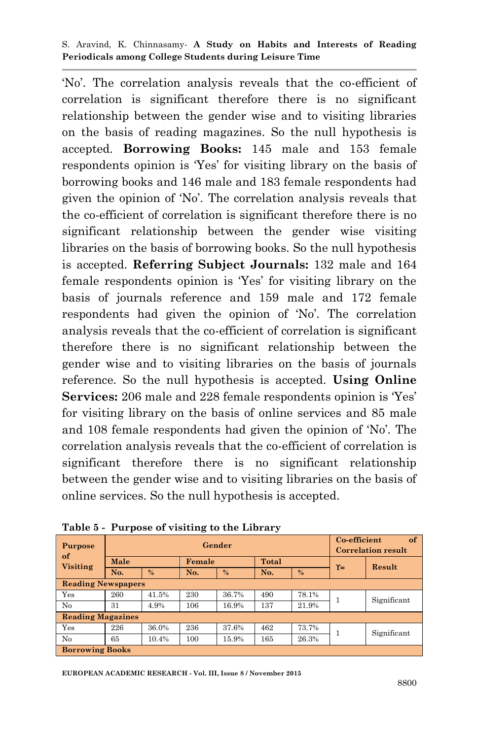"No". The correlation analysis reveals that the co-efficient of correlation is significant therefore there is no significant relationship between the gender wise and to visiting libraries on the basis of reading magazines. So the null hypothesis is accepted. **Borrowing Books:** 145 male and 153 female respondents opinion is "Yes" for visiting library on the basis of borrowing books and 146 male and 183 female respondents had given the opinion of "No". The correlation analysis reveals that the co-efficient of correlation is significant therefore there is no significant relationship between the gender wise visiting libraries on the basis of borrowing books. So the null hypothesis is accepted. **Referring Subject Journals:** 132 male and 164 female respondents opinion is "Yes" for visiting library on the basis of journals reference and 159 male and 172 female respondents had given the opinion of "No". The correlation analysis reveals that the co-efficient of correlation is significant therefore there is no significant relationship between the gender wise and to visiting libraries on the basis of journals reference. So the null hypothesis is accepted. **Using Online Services:** 206 male and 228 female respondents opinion is 'Yes' for visiting library on the basis of online services and 85 male and 108 female respondents had given the opinion of "No". The correlation analysis reveals that the co-efficient of correlation is significant therefore there is no significant relationship between the gender wise and to visiting libraries on the basis of online services. So the null hypothesis is accepted.

| <b>Purpose</b><br>of      |      |               |     | Gender |     |              |       | Co-efficient<br>of<br><b>Correlation result</b> |  |
|---------------------------|------|---------------|-----|--------|-----|--------------|-------|-------------------------------------------------|--|
| Visiting                  | Male |               |     | Female |     | <b>Total</b> |       |                                                 |  |
|                           | No.  | $\frac{0}{6}$ | No. | %      | No. | %            | $Y =$ | Result                                          |  |
| <b>Reading Newspapers</b> |      |               |     |        |     |              |       |                                                 |  |
| Yes                       | 260  | 41.5%         | 230 | 36.7%  | 490 | 78.1%        |       | Significant                                     |  |
| N <sub>0</sub>            | 31   | 4.9%          | 106 | 16.9%  | 137 | 21.9%        |       |                                                 |  |
| <b>Reading Magazines</b>  |      |               |     |        |     |              |       |                                                 |  |
| Yes                       | 226  | 36.0%         | 236 | 37.6%  | 462 | 73.7%        |       | Significant                                     |  |
| No                        | 65   | 10.4%         | 100 | 15.9%  | 165 | 26.3%        |       |                                                 |  |
| <b>Borrowing Books</b>    |      |               |     |        |     |              |       |                                                 |  |

|  |  | Table 5 - Purpose of visiting to the Library |  |  |
|--|--|----------------------------------------------|--|--|
|--|--|----------------------------------------------|--|--|

**EUROPEAN ACADEMIC RESEARCH - Vol. III, Issue 8 / November 2015**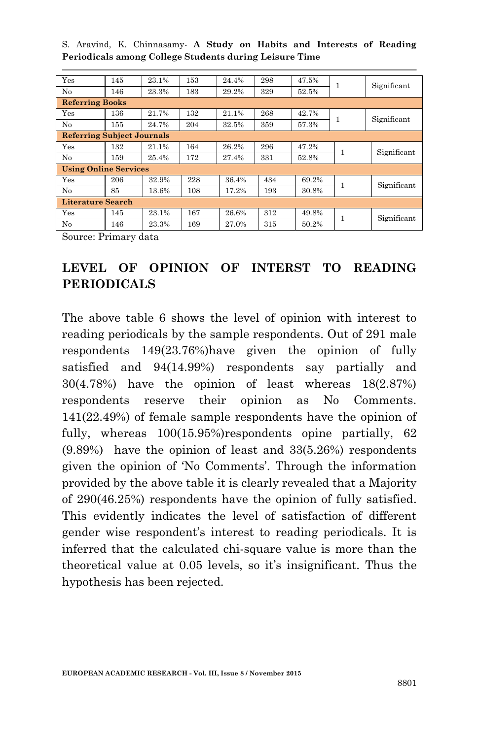| Yes                               | 145 | 23.1% | 153 | 24.4% | 298 | 47.5% |              | Significant |
|-----------------------------------|-----|-------|-----|-------|-----|-------|--------------|-------------|
| No                                | 146 | 23.3% | 183 | 29.2% | 329 | 52.5% |              |             |
| <b>Referring Books</b>            |     |       |     |       |     |       |              |             |
| Yes                               | 136 | 21.7% | 132 | 21.1% | 268 | 42.7% |              | Significant |
| No                                | 155 | 24.7% | 204 | 32.5% | 359 | 57.3% |              |             |
| <b>Referring Subject Journals</b> |     |       |     |       |     |       |              |             |
| Yes                               | 132 | 21.1% | 164 | 26.2% | 296 | 47.2% | 1            | Significant |
| No                                | 159 | 25.4% | 172 | 27.4% | 331 | 52.8% |              |             |
| <b>Using Online Services</b>      |     |       |     |       |     |       |              |             |
| Yes                               | 206 | 32.9% | 228 | 36.4% | 434 | 69.2% | 1            | Significant |
| No                                | 85  | 13.6% | 108 | 17.2% | 193 | 30.8% |              |             |
| <b>Literature Search</b>          |     |       |     |       |     |       |              |             |
| Yes                               | 145 | 23.1% | 167 | 26.6% | 312 | 49.8% | $\mathbf{1}$ |             |
| No                                | 146 | 23.3% | 169 | 27.0% | 315 | 50.2% |              | Significant |
| $\sim$ $\sim$                     |     |       |     |       |     |       |              |             |

Source: Primary data

# **LEVEL OF OPINION OF INTERST TO READING PERIODICALS**

The above table 6 shows the level of opinion with interest to reading periodicals by the sample respondents. Out of 291 male respondents 149(23.76%)have given the opinion of fully satisfied and 94(14.99%) respondents say partially and 30(4.78%) have the opinion of least whereas 18(2.87%) respondents reserve their opinion as No Comments. 141(22.49%) of female sample respondents have the opinion of fully, whereas  $100(15.95%)$ respondents opine partially, 62 (9.89%) have the opinion of least and 33(5.26%) respondents given the opinion of 'No Comments'. Through the information provided by the above table it is clearly revealed that a Majority of 290(46.25%) respondents have the opinion of fully satisfied. This evidently indicates the level of satisfaction of different gender wise respondent"s interest to reading periodicals. It is inferred that the calculated chi-square value is more than the theoretical value at 0.05 levels, so it's insignificant. Thus the hypothesis has been rejected.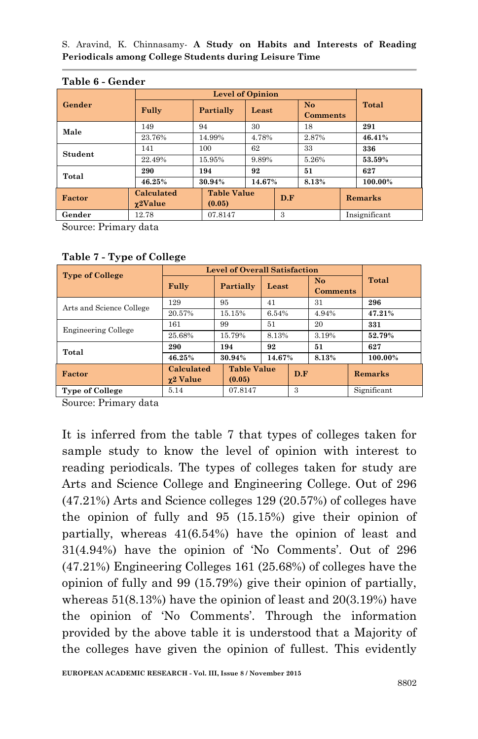|         | .<br>------                   |                         |                    |       |                                   |        |               |  |  |
|---------|-------------------------------|-------------------------|--------------------|-------|-----------------------------------|--------|---------------|--|--|
|         |                               | <b>Level of Opinion</b> |                    |       |                                   |        |               |  |  |
| Gender  | Fully                         | Partially               | Least              |       | N <sub>o</sub><br><b>Comments</b> |        | Total         |  |  |
|         |                               |                         |                    |       |                                   |        |               |  |  |
| Male    | 149                           | 94                      | 30                 |       | 18                                |        | 291           |  |  |
|         | 23.76%<br>4.78%<br>14.99%     |                         |                    | 2.87% |                                   | 46.41% |               |  |  |
| Student | 141                           | 100                     | 62                 |       | 33                                |        | 336           |  |  |
|         | 22.49%                        | 15.95%                  | 9.89%              |       | 5.26%                             |        | 53.59%        |  |  |
| Total   | 290                           | 194                     | 92                 |       | 51                                |        | 627           |  |  |
|         | 46.25%                        | 30.94%                  | 14.67%             |       | 8.13%                             |        | 100.00%       |  |  |
| Factor  | Calculated<br>$\gamma$ 2Value | (0.05)                  | <b>Table Value</b> |       | D.F                               |        | Remarks       |  |  |
| Gender  | 12.78                         | 07.8147                 |                    |       | 3                                 |        | Insignificant |  |  |

#### **Table 6 - Gender**

Source: Primary data

| <b>Type of College</b>     | <b>Level of Overall Satisfaction</b> |           |                    |                 |                                   |  |         |  |             |
|----------------------------|--------------------------------------|-----------|--------------------|-----------------|-----------------------------------|--|---------|--|-------------|
|                            | Fully                                | Partially | Least              |                 | N <sub>o</sub><br><b>Comments</b> |  | Total   |  |             |
| Arts and Science College   | 129                                  | 95        | 41                 |                 | 31                                |  | 296     |  |             |
|                            | 20.57%                               | 15.15%    |                    | 6.54%<br>4.94%  |                                   |  | 47.21%  |  |             |
|                            | 161                                  | 99        | 51                 |                 | 20                                |  | 331     |  |             |
| <b>Engineering College</b> | 25.68%                               | 15.79%    | 8.13%              |                 | 3.19%                             |  | 52.79%  |  |             |
| Total                      | 290                                  | 194<br>92 |                    | 51              |                                   |  | 627     |  |             |
|                            | 46.25%                               | 30.94%    |                    | 14.67%<br>8.13% |                                   |  | 100.00% |  |             |
| Factor                     | Calculated<br>γ2 Value               | (0.05)    | <b>Table Value</b> |                 | D.F                               |  | Remarks |  |             |
| <b>Type of College</b>     | 5.14                                 | 07.8147   |                    |                 | 3                                 |  |         |  | Significant |

### **Table 7 - Type of College**

Source: Primary data

It is inferred from the table 7 that types of colleges taken for sample study to know the level of opinion with interest to reading periodicals. The types of colleges taken for study are Arts and Science College and Engineering College. Out of 296 (47.21%) Arts and Science colleges 129 (20.57%) of colleges have the opinion of fully and 95 (15.15%) give their opinion of partially, whereas 41(6.54%) have the opinion of least and  $31(4.94%)$  have the opinion of 'No Comments'. Out of 296 (47.21%) Engineering Colleges 161 (25.68%) of colleges have the opinion of fully and 99 (15.79%) give their opinion of partially, whereas 51(8.13%) have the opinion of least and 20(3.19%) have the opinion of 'No Comments'. Through the information provided by the above table it is understood that a Majority of the colleges have given the opinion of fullest. This evidently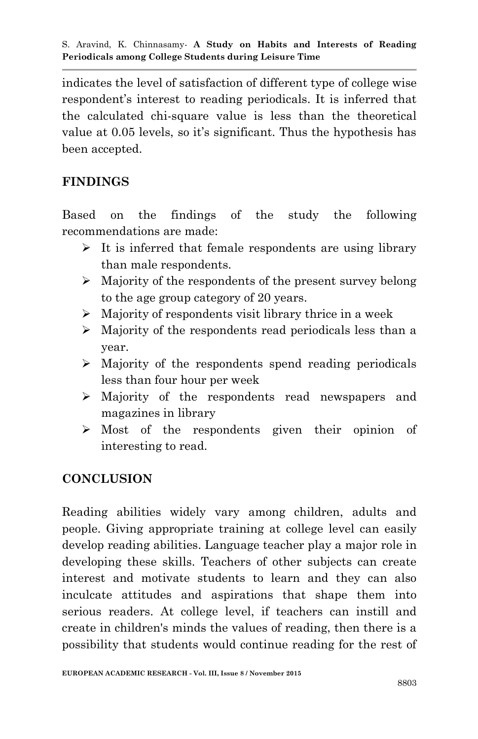indicates the level of satisfaction of different type of college wise respondent"s interest to reading periodicals. It is inferred that the calculated chi-square value is less than the theoretical value at 0.05 levels, so it's significant. Thus the hypothesis has been accepted.

## **FINDINGS**

Based on the findings of the study the following recommendations are made:

- $\triangleright$  It is inferred that female respondents are using library than male respondents.
- $\triangleright$  Majority of the respondents of the present survey belong to the age group category of 20 years.
- $\triangleright$  Majority of respondents visit library thrice in a week
- Majority of the respondents read periodicals less than a year.
- $\triangleright$  Majority of the respondents spend reading periodicals less than four hour per week
- Majority of the respondents read newspapers and magazines in library
- Most of the respondents given their opinion of interesting to read.

## **CONCLUSION**

Reading abilities widely vary among children, adults and people. Giving appropriate training at college level can easily develop reading abilities. Language teacher play a major role in developing these skills. Teachers of other subjects can create interest and motivate students to learn and they can also inculcate attitudes and aspirations that shape them into serious readers. At college level, if teachers can instill and create in children's minds the values of reading, then there is a possibility that students would continue reading for the rest of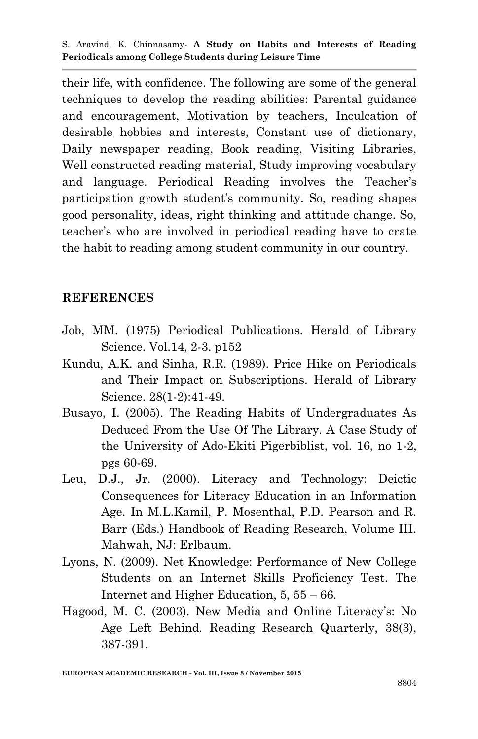their life, with confidence. The following are some of the general techniques to develop the reading abilities: Parental guidance and encouragement, Motivation by teachers, Inculcation of desirable hobbies and interests, Constant use of dictionary, Daily newspaper reading, Book reading, Visiting Libraries, Well constructed reading material, Study improving vocabulary and language. Periodical Reading involves the Teacher"s participation growth student"s community. So, reading shapes good personality, ideas, right thinking and attitude change. So, teacher"s who are involved in periodical reading have to crate the habit to reading among student community in our country.

### **REFERENCES**

- Job, MM. (1975) Periodical Publications. Herald of Library Science. Vol.14, 2-3. p152
- Kundu, A.K. and Sinha, R.R. (1989). Price Hike on Periodicals and Their Impact on Subscriptions. Herald of Library Science. 28(1-2):41-49.
- Busayo, I. (2005). The Reading Habits of Undergraduates As Deduced From the Use Of The Library. A Case Study of the University of Ado-Ekiti Pigerbiblist, vol. 16, no 1-2, pgs 60-69.
- Leu, D.J., Jr. (2000). Literacy and Technology: Deictic Consequences for Literacy Education in an Information Age. In M.L.Kamil, P. Mosenthal, P.D. Pearson and R. Barr (Eds.) Handbook of Reading Research, Volume III. Mahwah, NJ: Erlbaum.
- Lyons, N. (2009). Net Knowledge: Performance of New College Students on an Internet Skills Proficiency Test. The Internet and Higher Education, 5, 55 – 66.
- Hagood, M. C. (2003). New Media and Online Literacy's: No Age Left Behind. Reading Research Quarterly, 38(3), 387-391.